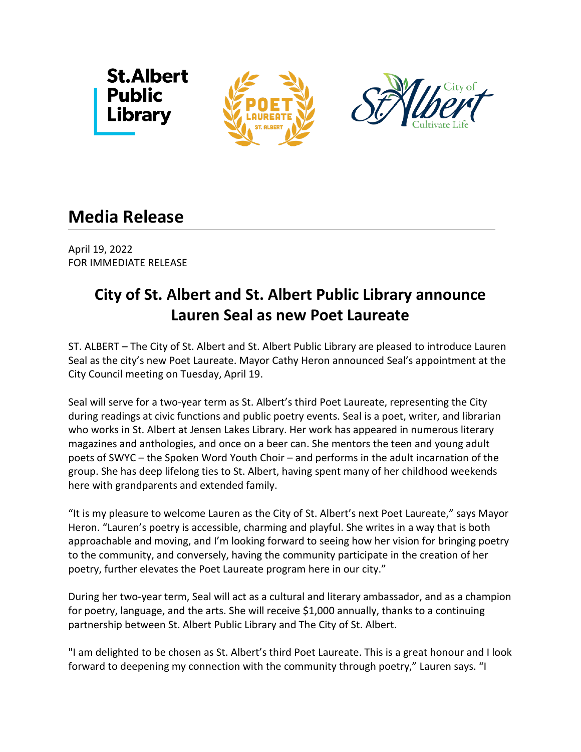





## **Media Release**

April 19, 2022 FOR IMMEDIATE RELEASE

## **City of St. Albert and St. Albert Public Library announce Lauren Seal as new Poet Laureate**

ST. ALBERT – The City of St. Albert and St. Albert Public Library are pleased to introduce Lauren Seal as the city's new Poet Laureate. Mayor Cathy Heron announced Seal's appointment at the City Council meeting on Tuesday, April 19.

Seal will serve for a two-year term as St. Albert's third Poet Laureate, representing the City during readings at civic functions and public poetry events. Seal is a poet, writer, and librarian who works in St. Albert at Jensen Lakes Library. Her work has appeared in numerous literary magazines and anthologies, and once on a beer can. She mentors the teen and young adult poets of SWYC – the Spoken Word Youth Choir – and performs in the adult incarnation of the group. She has deep lifelong ties to St. Albert, having spent many of her childhood weekends here with grandparents and extended family.

"It is my pleasure to welcome Lauren as the City of St. Albert's next Poet Laureate," says Mayor Heron. "Lauren's poetry is accessible, charming and playful. She writes in a way that is both approachable and moving, and I'm looking forward to seeing how her vision for bringing poetry to the community, and conversely, having the community participate in the creation of her poetry, further elevates the Poet Laureate program here in our city."

During her two-year term, Seal will act as a cultural and literary ambassador, and as a champion for poetry, language, and the arts. She will receive \$1,000 annually, thanks to a continuing partnership between St. Albert Public Library and The City of St. Albert.

"I am delighted to be chosen as St. Albert's third Poet Laureate. This is a great honour and I look forward to deepening my connection with the community through poetry," Lauren says. "I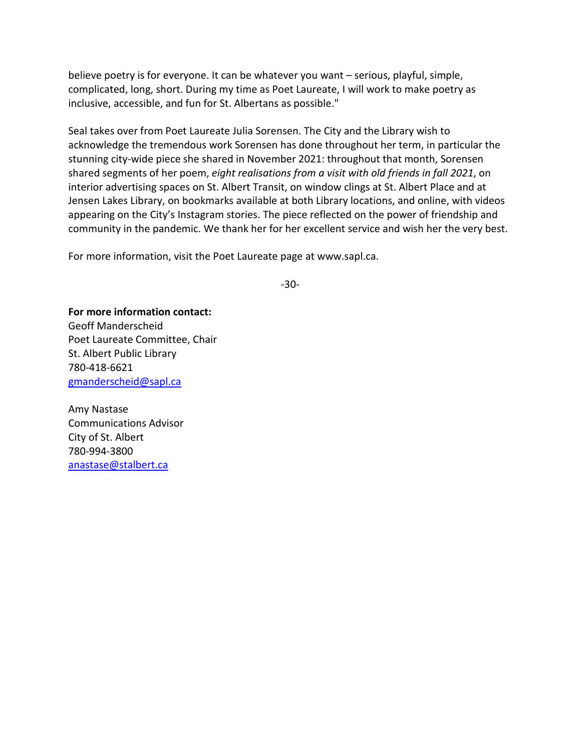believe poetry is for everyone. It can be whatever you want – serious, playful, simple, complicated, long, short. During my time as Poet Laureate, I will work to make poetry as inclusive, accessible, and fun for St. Albertans as possible."

Seal takes over from Poet Laureate Julia Sorensen. The City and the Library wish to acknowledge the tremendous work Sorensen has done throughout her term, in particular the stunning city-wide piece she shared in November 2021: throughout that month, Sorensen shared segments of her poem, *eight realisations from a visit with old friends in fall 2021*, on interior advertising spaces on St. Albert Transit, on window clings at St. Albert Place and at Jensen Lakes Library, on bookmarks available at both Library locations, and online, with videos appearing on the City's Instagram stories. The piece reflected on the power of friendship and community in the pandemic. We thank her for her excellent service and wish her the very best.

For more information, visit the Poet Laureate page at www.sapl.ca.

-30-

**For more information contact:** Geoff Manderscheid Poet Laureate Committee, Chair St. Albert Public Library 780-418-6621 [gmanderscheid@sapl.ca](mailto:gmanderscheid@sapl.ca)

Amy Nastase Communications Advisor City of St. Albert 780-994-3800 [anastase@stalbert.ca](mailto:anastase@stalbert.ca)